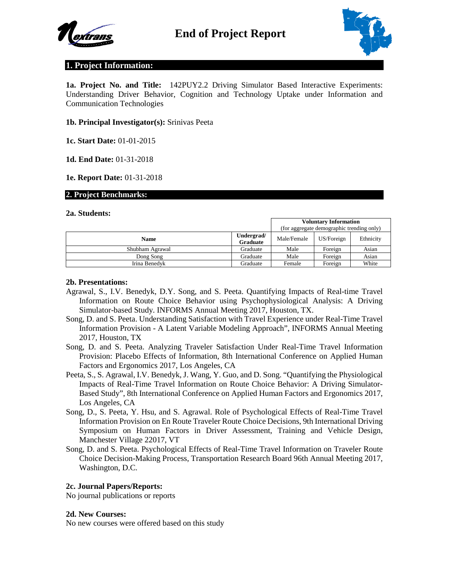



# **1. Project Information:**

**1a. Project No. and Title:** 142PUY2.2 Driving Simulator Based Interactive Experiments: Understanding Driver Behavior, Cognition and Technology Uptake under Information and Communication Technologies

### **1b. Principal Investigator(s):** Srinivas Peeta

**1c. Start Date:** 01-01-2015

**1d. End Date:** 01-31-2018

**1e. Report Date:** 01-31-2018

#### **2. Project Benchmarks:**

#### **2a. Students:**

|                 |                               |             | <b>Voluntary Information</b><br>(for aggregate demographic trending only) |           |  |
|-----------------|-------------------------------|-------------|---------------------------------------------------------------------------|-----------|--|
| <b>Name</b>     | Undergrad/<br><b>Graduate</b> | Male/Female | US/Foreign                                                                | Ethnicity |  |
| Shubham Agrawal | Graduate                      | Male        | Foreign                                                                   | Asian     |  |
| Dong Song       | Graduate                      | Male        | Foreign                                                                   | Asian     |  |
| Irina Benedvk   | Graduate                      | Female      | Foreign                                                                   | White     |  |

### **2b. Presentations:**

- Agrawal, S., I.V. Benedyk, D.Y. Song, and S. Peeta. Quantifying Impacts of Real-time Travel Information on Route Choice Behavior using Psychophysiological Analysis: A Driving Simulator-based Study. INFORMS Annual Meeting 2017, Houston, TX.
- Song, D. and S. Peeta. Understanding Satisfaction with Travel Experience under Real-Time Travel Information Provision - A Latent Variable Modeling Approach", INFORMS Annual Meeting 2017, Houston, TX
- Song, D. and S. Peeta. Analyzing Traveler Satisfaction Under Real-Time Travel Information Provision: Placebo Effects of Information, 8th International Conference on Applied Human Factors and Ergonomics 2017, Los Angeles, CA
- Peeta, S., S. Agrawal, I.V. Benedyk, J. Wang, Y. Guo, and D. Song. "Quantifying the Physiological Impacts of Real-Time Travel Information on Route Choice Behavior: A Driving Simulator-Based Study", 8th International Conference on Applied Human Factors and Ergonomics 2017, Los Angeles, CA
- Song, D., S. Peeta, Y. Hsu, and S. Agrawal. Role of Psychological Effects of Real-Time Travel Information Provision on En Route Traveler Route Choice Decisions, 9th International Driving Symposium on Human Factors in Driver Assessment, Training and Vehicle Design, Manchester Village 22017, VT
- Song, D. and S. Peeta. Psychological Effects of Real-Time Travel Information on Traveler Route Choice Decision-Making Process, Transportation Research Board 96th Annual Meeting 2017, Washington, D.C.

### **2c. Journal Papers/Reports:**

No journal publications or reports

#### **2d. New Courses:**

No new courses were offered based on this study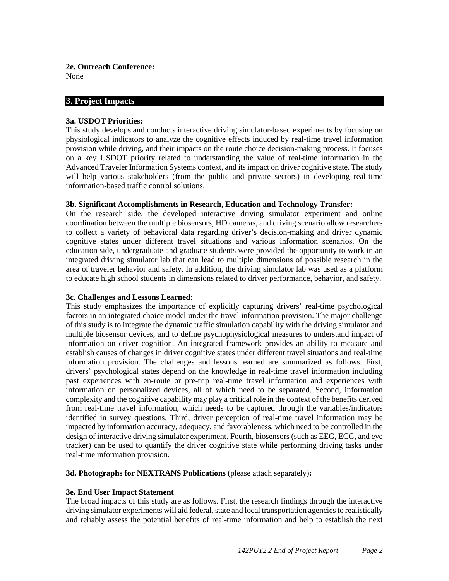**2e. Outreach Conference:** None

## **3. Project Impacts**

### **3a. USDOT Priorities:**

This study develops and conducts interactive driving simulator-based experiments by focusing on physiological indicators to analyze the cognitive effects induced by real-time travel information provision while driving, and their impacts on the route choice decision-making process. It focuses on a key USDOT priority related to understanding the value of real-time information in the Advanced Traveler Information Systems context, and its impact on driver cognitive state. The study will help various stakeholders (from the public and private sectors) in developing real-time information-based traffic control solutions.

### **3b. Significant Accomplishments in Research, Education and Technology Transfer:**

On the research side, the developed interactive driving simulator experiment and online coordination between the multiple biosensors, HD cameras, and driving scenario allow researchers to collect a variety of behavioral data regarding driver's decision-making and driver dynamic cognitive states under different travel situations and various information scenarios. On the education side, undergraduate and graduate students were provided the opportunity to work in an integrated driving simulator lab that can lead to multiple dimensions of possible research in the area of traveler behavior and safety. In addition, the driving simulator lab was used as a platform to educate high school students in dimensions related to driver performance, behavior, and safety.

### **3c. Challenges and Lessons Learned:**

This study emphasizes the importance of explicitly capturing drivers' real-time psychological factors in an integrated choice model under the travel information provision. The major challenge of this study is to integrate the dynamic traffic simulation capability with the driving simulator and multiple biosensor devices, and to define psychophysiological measures to understand impact of information on driver cognition. An integrated framework provides an ability to measure and establish causes of changes in driver cognitive states under different travel situations and real-time information provision. The challenges and lessons learned are summarized as follows. First, drivers' psychological states depend on the knowledge in real-time travel information including past experiences with en-route or pre-trip real-time travel information and experiences with information on personalized devices, all of which need to be separated. Second, information complexity and the cognitive capability may play a critical role in the context of the benefits derived from real-time travel information, which needs to be captured through the variables/indicators identified in survey questions. Third, driver perception of real-time travel information may be impacted by information accuracy, adequacy, and favorableness, which need to be controlled in the design of interactive driving simulator experiment. Fourth, biosensors (such as EEG, ECG, and eye tracker) can be used to quantify the driver cognitive state while performing driving tasks under real-time information provision.

**3d. Photographs for NEXTRANS Publications** (please attach separately)**:**

### **3e. End User Impact Statement**

The broad impacts of this study are as follows. First, the research findings through the interactive driving simulator experiments will aid federal, state and local transportation agencies to realistically and reliably assess the potential benefits of real-time information and help to establish the next